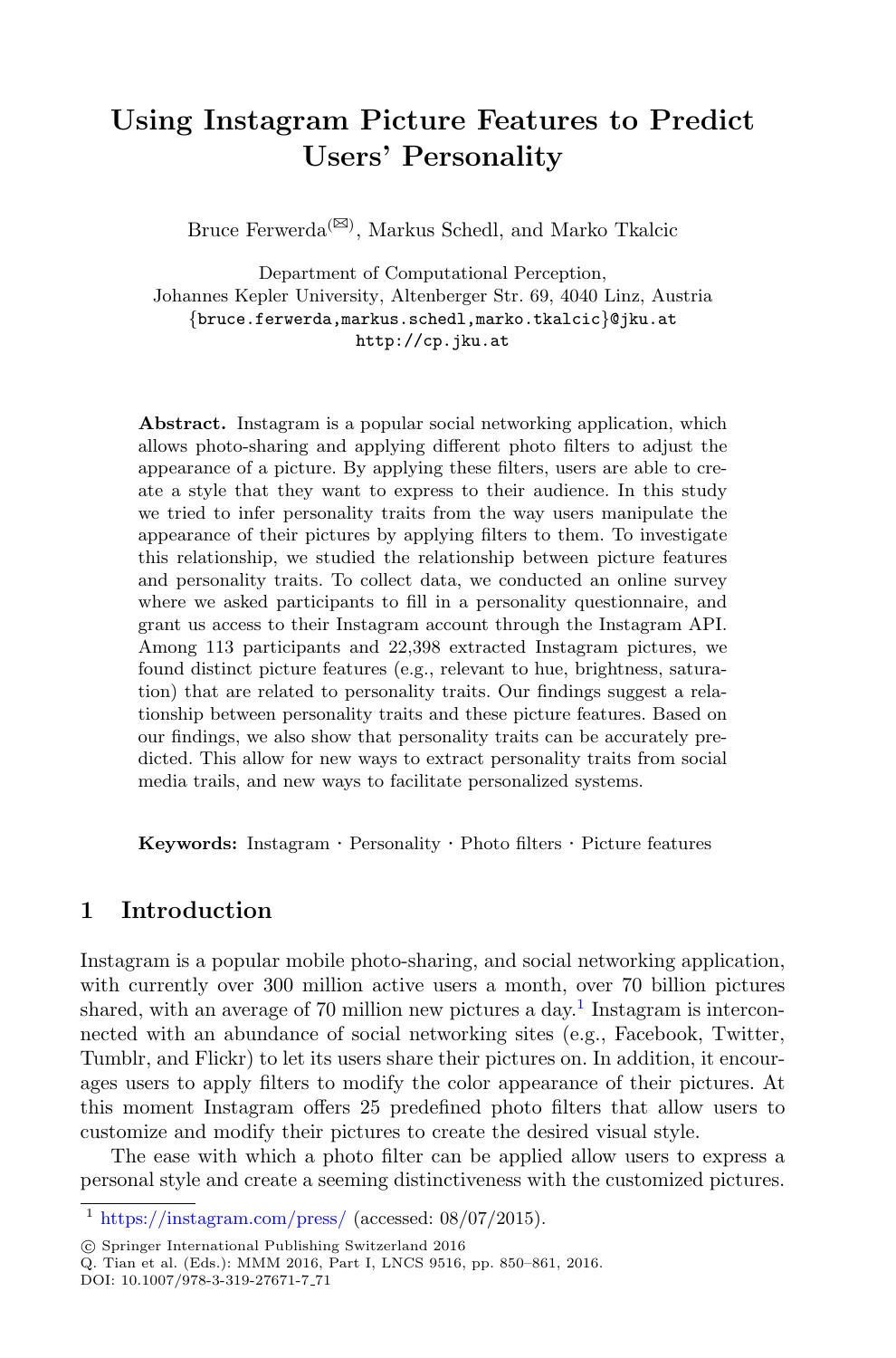# **Using Instagram Picture Features to Predict Users' Personality**

Bruce Ferwerda<sup>( $\boxtimes$ )</sup>, Markus Schedl, and Marko Tkalcic

Department of Computational Perception, Johannes Kepler University, Altenberger Str. 69, 4040 Linz, Austria *{*bruce.ferwerda,markus.schedl,marko.tkalcic*}*@jku.at http://cp.jku.at

**Abstract.** Instagram is a popular social networking application, which allows photo-sharing and applying different photo filters to adjust the appearance of a picture. By applying these filters, users are able to create a style that they want to express to their audience. In this study we tried to infer personality traits from the way users manipulate the appearance of their pictures by applying filters to them. To investigate this relationship, we studied the relationship between picture features and personality traits. To collect data, we conducted an online survey where we asked participants to fill in a personality questionnaire, and grant us access to their Instagram account through the Instagram API. Among 113 participants and 22,398 extracted Instagram pictures, we found distinct picture features (e.g., relevant to hue, brightness, saturation) that are related to personality traits. Our findings suggest a relationship between personality traits and these picture features. Based on our findings, we also show that personality traits can be accurately predicted. This allow for new ways to extract personality traits from social media trails, and new ways to facilitate personalized systems.

**Keywords:** Instagram · Personality · Photo filters · Picture features

#### **1 Introduction**

Instagram is a popular mobile photo-sharing, and social networking application, with currently over 300 million active users a month, over 70 billion pictures shared, with an average of 70 million new pictures a day.<sup>[1](#page-0-0)</sup> Instagram is interconnected with an abundance of social networking sites (e.g., Facebook, Twitter, Tumblr, and Flickr) to let its users share their pictures on. In addition, it encourages users to apply filters to modify the color appearance of their pictures. At this moment Instagram offers 25 predefined photo filters that allow users to customize and modify their pictures to create the desired visual style.

The ease with which a photo filter can be applied allow users to express a personal style and create a seeming distinctiveness with the customized pictures.

<span id="page-0-0"></span> $1 \text{ https://instagram.com/press/}$  $1 \text{ https://instagram.com/press/}$  $1 \text{ https://instagram.com/press/}$  (accessed: 08/07/2015).

<sup>-</sup>c Springer International Publishing Switzerland 2016

Q. Tian et al. (Eds.): MMM 2016, Part I, LNCS 9516, pp. 850–861, 2016.

DOI: 10.1007/978-3-319-27671-7 71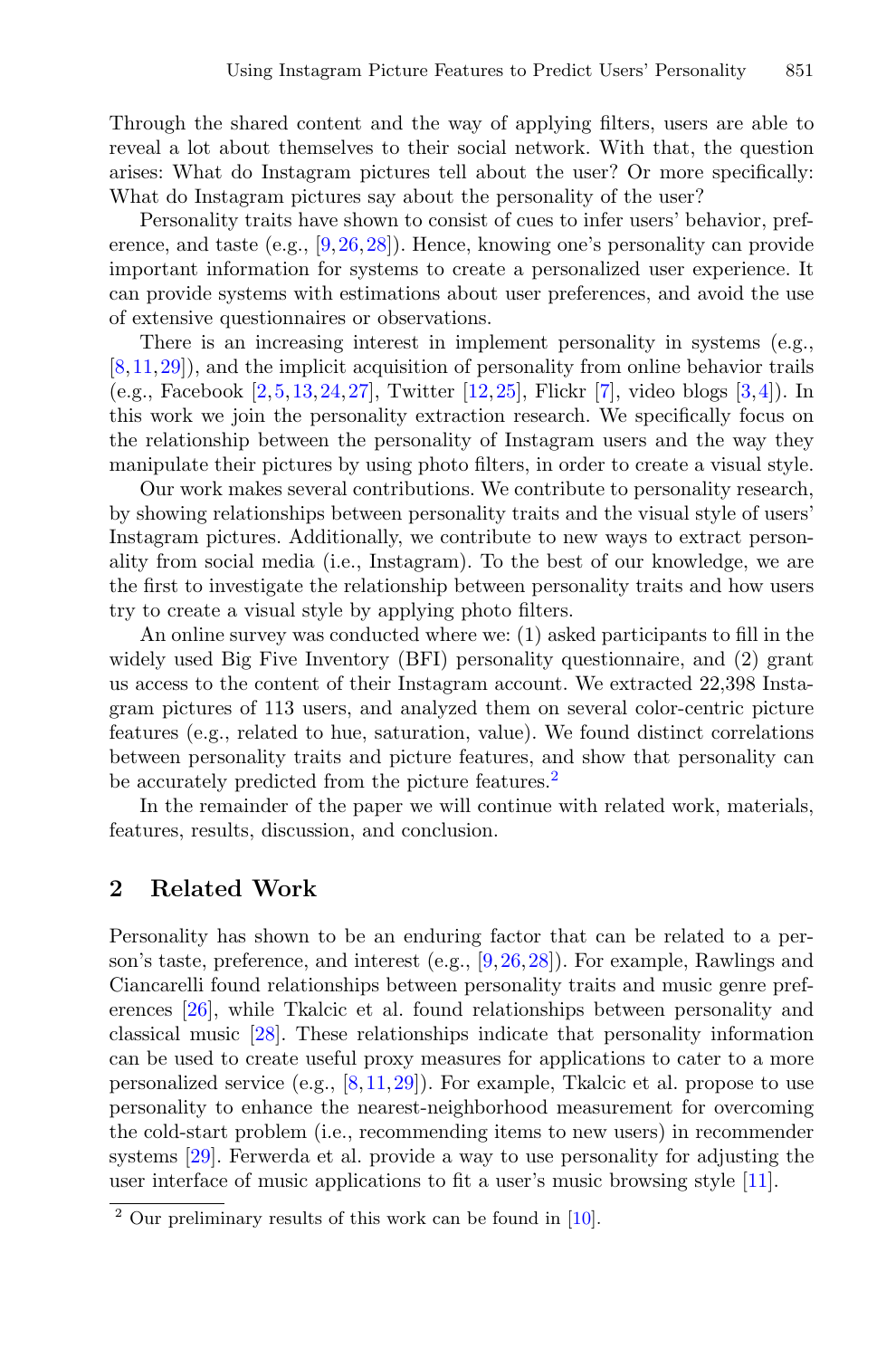Through the shared content and the way of applying filters, users are able to reveal a lot about themselves to their social network. With that, the question arises: What do Instagram pictures tell about the user? Or more specifically: What do Instagram pictures say about the personality of the user?

Personality traits have shown to consist of cues to infer users' behavior, preference, and taste (e.g., [\[9](#page-10-0)[,26](#page-11-0),[28\]](#page-11-1)). Hence, knowing one's personality can provide important information for systems to create a personalized user experience. It can provide systems with estimations about user preferences, and avoid the use of extensive questionnaires or observations.

There is an increasing interest in implement personality in systems (e.g., [\[8](#page-10-1)[,11](#page-10-2),[29\]](#page-11-2)), and the implicit acquisition of personality from online behavior trails (e.g., Facebook [\[2,](#page-10-3)[5](#page-10-4)[,13](#page-10-5)[,24](#page-11-3),[27\]](#page-11-4), Twitter [\[12,](#page-10-6)[25](#page-11-5)], Flickr [\[7](#page-10-7)], video blogs [\[3](#page-10-8)[,4](#page-10-9)]). In this work we join the personality extraction research. We specifically focus on the relationship between the personality of Instagram users and the way they manipulate their pictures by using photo filters, in order to create a visual style.

Our work makes several contributions. We contribute to personality research, by showing relationships between personality traits and the visual style of users' Instagram pictures. Additionally, we contribute to new ways to extract personality from social media (i.e., Instagram). To the best of our knowledge, we are the first to investigate the relationship between personality traits and how users try to create a visual style by applying photo filters.

An online survey was conducted where we: (1) asked participants to fill in the widely used Big Five Inventory (BFI) personality questionnaire, and (2) grant us access to the content of their Instagram account. We extracted 22,398 Instagram pictures of 113 users, and analyzed them on several color-centric picture features (e.g., related to hue, saturation, value). We found distinct correlations between personality traits and picture features, and show that personality can be accurately predicted from the picture features.<sup>[2](#page-1-0)</sup>

In the remainder of the paper we will continue with related work, materials, features, results, discussion, and conclusion.

#### **2 Related Work**

Personality has shown to be an enduring factor that can be related to a person's taste, preference, and interest (e.g., [\[9,](#page-10-0)[26,](#page-11-0)[28](#page-11-1)]). For example, Rawlings and Ciancarelli found relationships between personality traits and music genre preferences [\[26\]](#page-11-0), while Tkalcic et al. found relationships between personality and classical music [\[28](#page-11-1)]. These relationships indicate that personality information can be used to create useful proxy measures for applications to cater to a more personalized service (e.g., [\[8,](#page-10-1)[11,](#page-10-2)[29](#page-11-2)]). For example, Tkalcic et al. propose to use personality to enhance the nearest-neighborhood measurement for overcoming the cold-start problem (i.e., recommending items to new users) in recommender systems [\[29](#page-11-2)]. Ferwerda et al. provide a way to use personality for adjusting the user interface of music applications to fit a user's music browsing style [\[11\]](#page-10-2).

<span id="page-1-0"></span> $2$  Our preliminary results of this work can be found in  $[10]$  $[10]$ .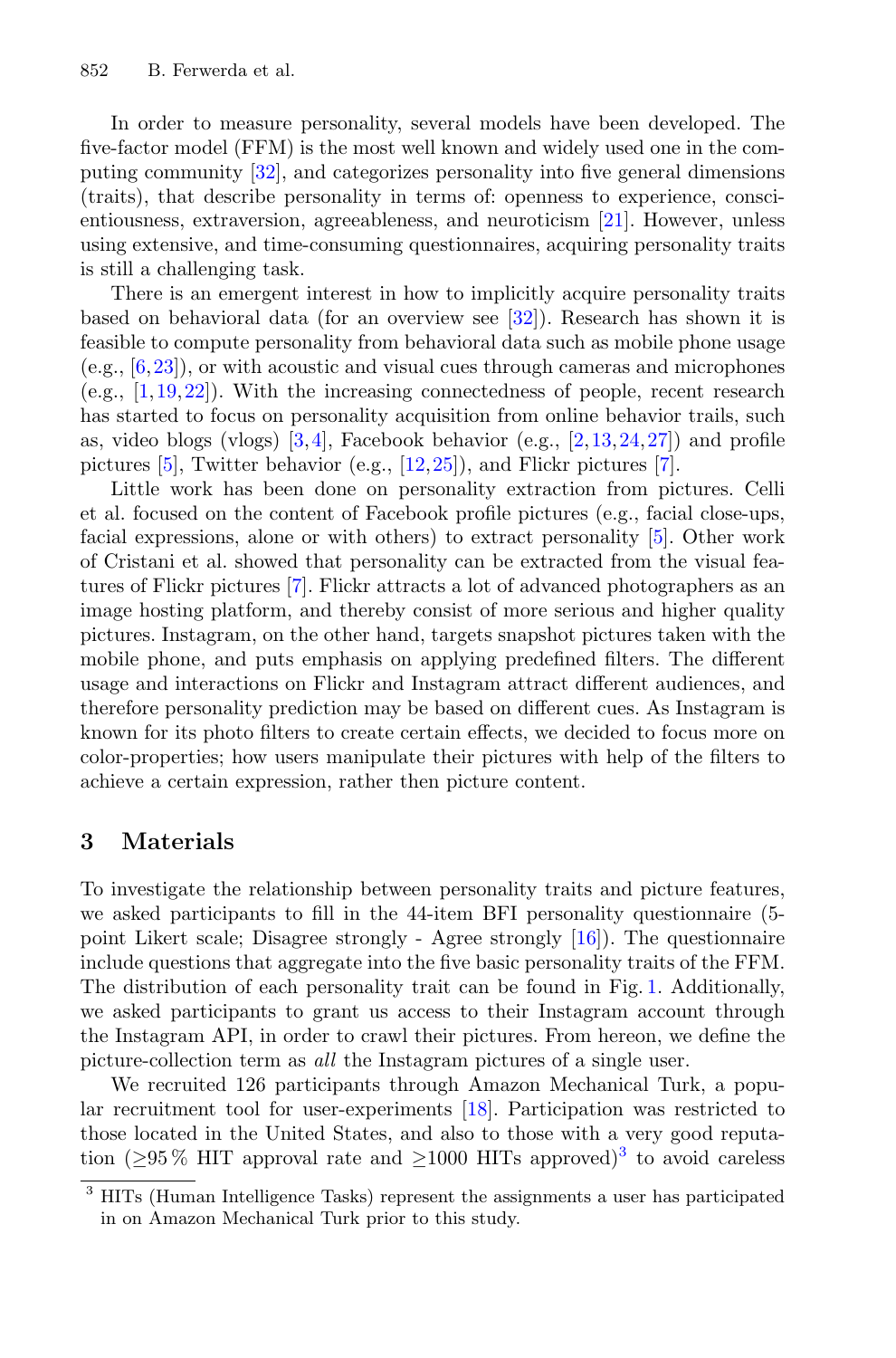In order to measure personality, several models have been developed. The five-factor model (FFM) is the most well known and widely used one in the computing community [\[32](#page-11-6)], and categorizes personality into five general dimensions (traits), that describe personality in terms of: openness to experience, conscientiousness, extraversion, agreeableness, and neuroticism [\[21](#page-11-7)]. However, unless using extensive, and time-consuming questionnaires, acquiring personality traits is still a challenging task.

There is an emergent interest in how to implicitly acquire personality traits based on behavioral data (for an overview see [\[32\]](#page-11-6)). Research has shown it is feasible to compute personality from behavioral data such as mobile phone usage  $(e.g., [6,23])$  $(e.g., [6,23])$  $(e.g., [6,23])$  $(e.g., [6,23])$ , or with acoustic and visual cues through cameras and microphones (e.g., [\[1](#page-10-12),[19,](#page-11-9)[22](#page-11-10)]). With the increasing connectedness of people, recent research has started to focus on personality acquisition from online behavior trails, such as, video blogs (vlogs)  $[3,4]$  $[3,4]$  $[3,4]$ , Facebook behavior (e.g.,  $[2,13,24,27]$  $[2,13,24,27]$  $[2,13,24,27]$  $[2,13,24,27]$  $[2,13,24,27]$ ) and profile pictures  $[5]$ , Twitter behavior (e.g.,  $[12,25]$  $[12,25]$  $[12,25]$ ), and Flickr pictures  $[7]$ .

Little work has been done on personality extraction from pictures. Celli et al. focused on the content of Facebook profile pictures (e.g., facial close-ups, facial expressions, alone or with others) to extract personality [\[5](#page-10-4)]. Other work of Cristani et al. showed that personality can be extracted from the visual features of Flickr pictures [\[7](#page-10-7)]. Flickr attracts a lot of advanced photographers as an image hosting platform, and thereby consist of more serious and higher quality pictures. Instagram, on the other hand, targets snapshot pictures taken with the mobile phone, and puts emphasis on applying predefined filters. The different usage and interactions on Flickr and Instagram attract different audiences, and therefore personality prediction may be based on different cues. As Instagram is known for its photo filters to create certain effects, we decided to focus more on color-properties; how users manipulate their pictures with help of the filters to achieve a certain expression, rather then picture content.

#### **3 Materials**

To investigate the relationship between personality traits and picture features, we asked participants to fill in the 44-item BFI personality questionnaire (5 point Likert scale; Disagree strongly - Agree strongly [\[16\]](#page-11-11)). The questionnaire include questions that aggregate into the five basic personality traits of the FFM. The distribution of each personality trait can be found in Fig. [1.](#page-3-0) Additionally, we asked participants to grant us access to their Instagram account through the Instagram API, in order to crawl their pictures. From hereon, we define the picture-collection term as *all* the Instagram pictures of a single user.

We recruited 126 participants through Amazon Mechanical Turk, a popular recruitment tool for user-experiments [\[18](#page-11-12)]. Participation was restricted to those located in the United States, and also to those with a very good reputa-tion (>95 % HIT approval rate and >1000 HITs approved)<sup>[3](#page-2-0)</sup> to avoid careless

<span id="page-2-0"></span><sup>3</sup> HITs (Human Intelligence Tasks) represent the assignments a user has participated in on Amazon Mechanical Turk prior to this study.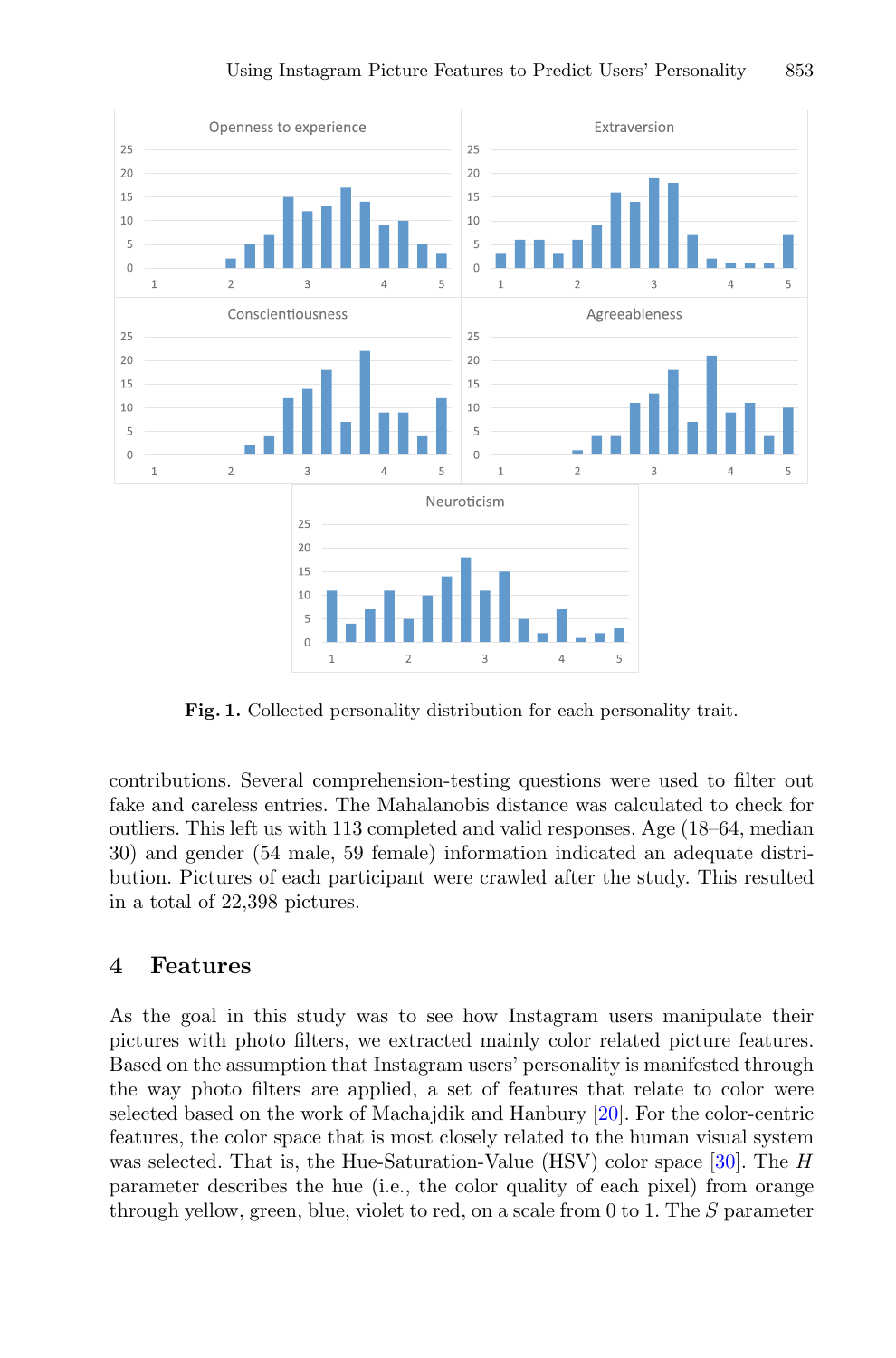

**Fig. 1.** Collected personality distribution for each personality trait.

<span id="page-3-0"></span>contributions. Several comprehension-testing questions were used to filter out fake and careless entries. The Mahalanobis distance was calculated to check for outliers. This left us with 113 completed and valid responses. Age (18–64, median 30) and gender (54 male, 59 female) information indicated an adequate distribution. Pictures of each participant were crawled after the study. This resulted in a total of 22,398 pictures.

#### <span id="page-3-1"></span>**4 Features**

As the goal in this study was to see how Instagram users manipulate their pictures with photo filters, we extracted mainly color related picture features. Based on the assumption that Instagram users' personality is manifested through the way photo filters are applied, a set of features that relate to color were selected based on the work of Machajdik and Hanbury [\[20](#page-11-13)]. For the color-centric features, the color space that is most closely related to the human visual system was selected. That is, the Hue-Saturation-Value (HSV) color space [\[30\]](#page-11-14). The  $H$ parameter describes the hue (i.e., the color quality of each pixel) from orange through yellow, green, blue, violet to red, on a scale from 0 to 1. The S parameter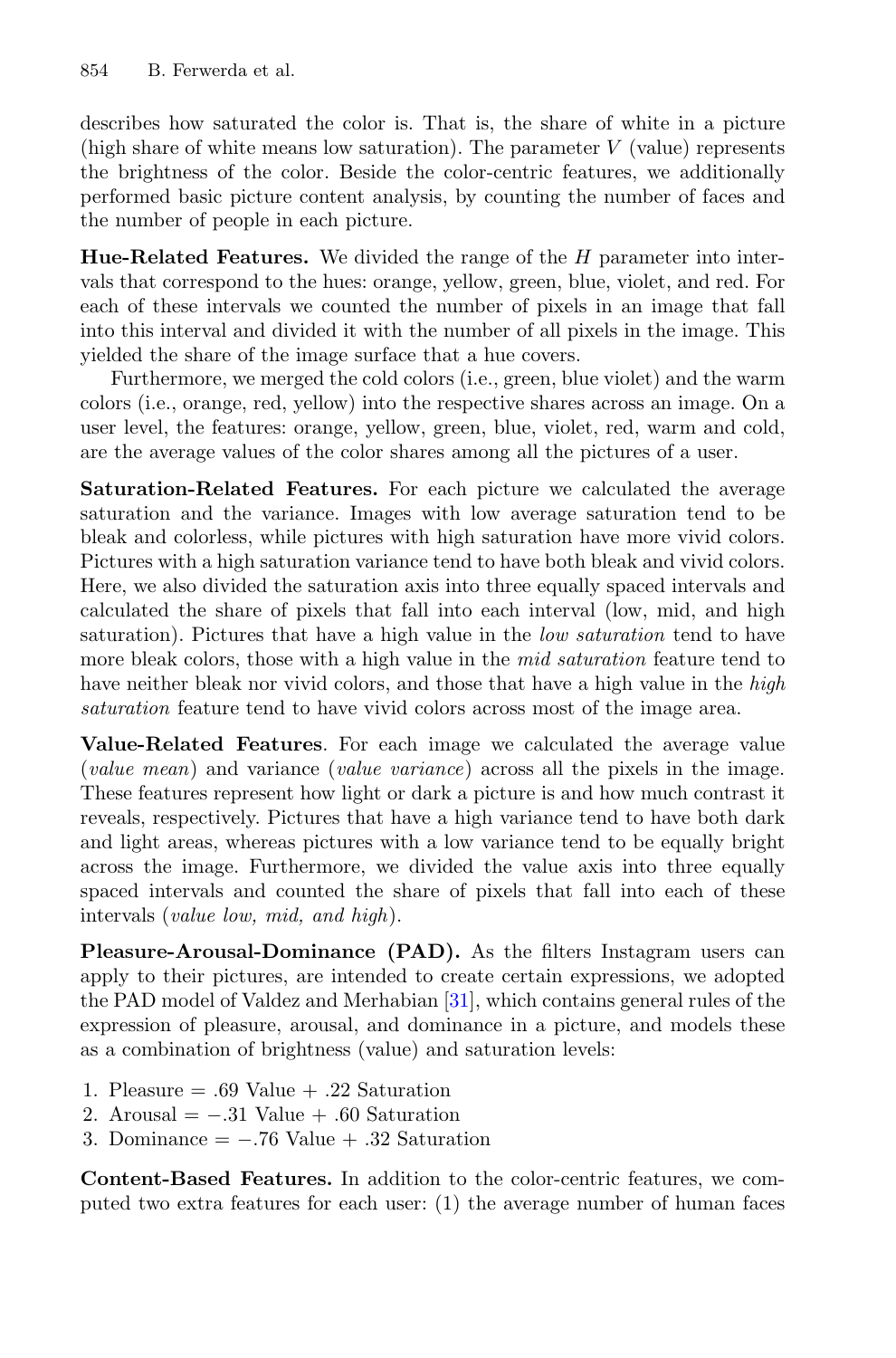describes how saturated the color is. That is, the share of white in a picture (high share of white means low saturation). The parameter  $V$  (value) represents the brightness of the color. Beside the color-centric features, we additionally performed basic picture content analysis, by counting the number of faces and the number of people in each picture.

**Hue-Related Features.** We divided the range of the H parameter into intervals that correspond to the hues: orange, yellow, green, blue, violet, and red. For each of these intervals we counted the number of pixels in an image that fall into this interval and divided it with the number of all pixels in the image. This yielded the share of the image surface that a hue covers.

Furthermore, we merged the cold colors (i.e., green, blue violet) and the warm colors (i.e., orange, red, yellow) into the respective shares across an image. On a user level, the features: orange, yellow, green, blue, violet, red, warm and cold, are the average values of the color shares among all the pictures of a user.

**Saturation-Related Features.** For each picture we calculated the average saturation and the variance. Images with low average saturation tend to be bleak and colorless, while pictures with high saturation have more vivid colors. Pictures with a high saturation variance tend to have both bleak and vivid colors. Here, we also divided the saturation axis into three equally spaced intervals and calculated the share of pixels that fall into each interval (low, mid, and high saturation). Pictures that have a high value in the *low saturation* tend to have more bleak colors, those with a high value in the *mid saturation* feature tend to have neither bleak nor vivid colors, and those that have a high value in the *high saturation* feature tend to have vivid colors across most of the image area.

**Value-Related Features**. For each image we calculated the average value (*value mean*) and variance (*value variance*) across all the pixels in the image. These features represent how light or dark a picture is and how much contrast it reveals, respectively. Pictures that have a high variance tend to have both dark and light areas, whereas pictures with a low variance tend to be equally bright across the image. Furthermore, we divided the value axis into three equally spaced intervals and counted the share of pixels that fall into each of these intervals (*value low, mid, and high*).

**Pleasure-Arousal-Dominance (PAD).** As the filters Instagram users can apply to their pictures, are intended to create certain expressions, we adopted the PAD model of Valdez and Merhabian [\[31](#page-11-15)], which contains general rules of the expression of pleasure, arousal, and dominance in a picture, and models these as a combination of brightness (value) and saturation levels:

- 1. Pleasure  $= .69$  Value  $+ .22$  Saturation
- 2. Arousal  $= -0.31$  Value  $+0.60$  Saturation
- 3. Dominance  $= -.76$  Value  $+ .32$  Saturation

**Content-Based Features.** In addition to the color-centric features, we computed two extra features for each user: (1) the average number of human faces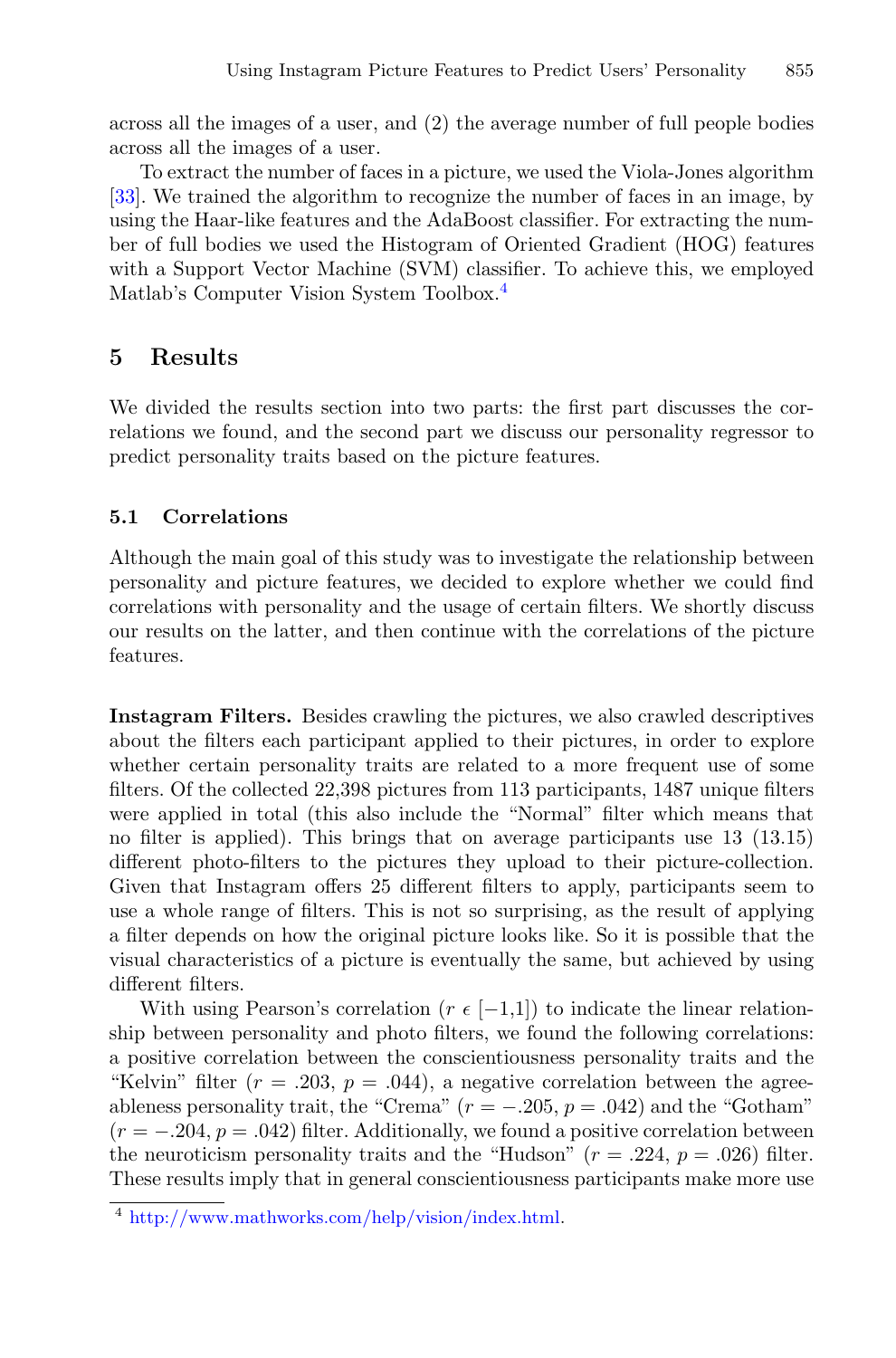across all the images of a user, and (2) the average number of full people bodies across all the images of a user.

To extract the number of faces in a picture, we used the Viola-Jones algorithm [\[33](#page-11-16)]. We trained the algorithm to recognize the number of faces in an image, by using the Haar-like features and the AdaBoost classifier. For extracting the number of full bodies we used the Histogram of Oriented Gradient (HOG) features with a Support Vector Machine (SVM) classifier. To achieve this, we employed Matlab's Computer Vision System Toolbox.<sup>[4](#page-5-0)</sup>

### **5 Results**

We divided the results section into two parts: the first part discusses the correlations we found, and the second part we discuss our personality regressor to predict personality traits based on the picture features.

#### **5.1 Correlations**

Although the main goal of this study was to investigate the relationship between personality and picture features, we decided to explore whether we could find correlations with personality and the usage of certain filters. We shortly discuss our results on the latter, and then continue with the correlations of the picture features.

**Instagram Filters.** Besides crawling the pictures, we also crawled descriptives about the filters each participant applied to their pictures, in order to explore whether certain personality traits are related to a more frequent use of some filters. Of the collected 22,398 pictures from 113 participants, 1487 unique filters were applied in total (this also include the "Normal" filter which means that no filter is applied). This brings that on average participants use 13 (13.15) different photo-filters to the pictures they upload to their picture-collection. Given that Instagram offers 25 different filters to apply, participants seem to use a whole range of filters. This is not so surprising, as the result of applying a filter depends on how the original picture looks like. So it is possible that the visual characteristics of a picture is eventually the same, but achieved by using different filters.

With using Pearson's correlation  $(r \in [-1,1])$  to indicate the linear relationship between personality and photo filters, we found the following correlations: a positive correlation between the conscientiousness personality traits and the "Kelvin" filter ( $r = .203$ ,  $p = .044$ ), a negative correlation between the agreeableness personality trait, the "Crema"  $(r = -.205, p = .042)$  and the "Gotham"  $(r = -.204, p = .042)$  filter. Additionally, we found a positive correlation between the neuroticism personality traits and the "Hudson" ( $r = .224$ ,  $p = .026$ ) filter. These results imply that in general conscientiousness participants make more use

<span id="page-5-0"></span><sup>4</sup> [http://www.mathworks.com/help/vision/index.html.](http://www.mathworks.com/help/vision/index.html)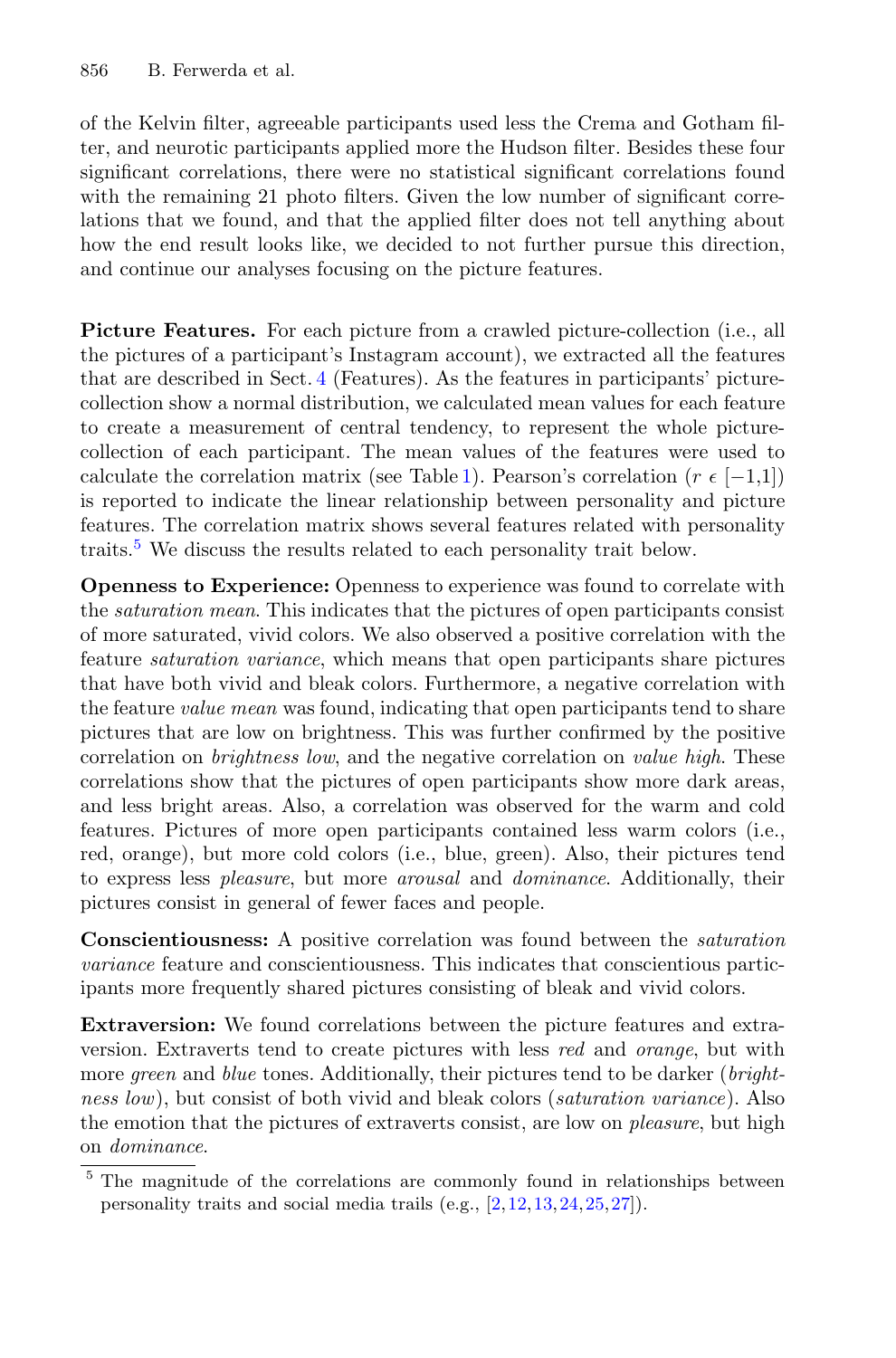of the Kelvin filter, agreeable participants used less the Crema and Gotham filter, and neurotic participants applied more the Hudson filter. Besides these four significant correlations, there were no statistical significant correlations found with the remaining 21 photo filters. Given the low number of significant correlations that we found, and that the applied filter does not tell anything about how the end result looks like, we decided to not further pursue this direction, and continue our analyses focusing on the picture features.

**Picture Features.** For each picture from a crawled picture-collection (i.e., all the pictures of a participant's Instagram account), we extracted all the features that are described in Sect. [4](#page-3-1) (Features). As the features in participants' picturecollection show a normal distribution, we calculated mean values for each feature to create a measurement of central tendency, to represent the whole picturecollection of each participant. The mean values of the features were used to calculate the correlation matrix (see Table [1\)](#page-7-0). Pearson's correlation  $(r \in [-1,1])$ is reported to indicate the linear relationship between personality and picture features. The correlation matrix shows several features related with personality traits.<sup>[5](#page-6-0)</sup> We discuss the results related to each personality trait below.

**Openness to Experience:** Openness to experience was found to correlate with the *saturation mean*. This indicates that the pictures of open participants consist of more saturated, vivid colors. We also observed a positive correlation with the feature *saturation variance*, which means that open participants share pictures that have both vivid and bleak colors. Furthermore, a negative correlation with the feature *value mean* was found, indicating that open participants tend to share pictures that are low on brightness. This was further confirmed by the positive correlation on *brightness low*, and the negative correlation on *value high*. These correlations show that the pictures of open participants show more dark areas, and less bright areas. Also, a correlation was observed for the warm and cold features. Pictures of more open participants contained less warm colors (i.e., red, orange), but more cold colors (i.e., blue, green). Also, their pictures tend to express less *pleasure*, but more *arousal* and *dominance*. Additionally, their pictures consist in general of fewer faces and people.

**Conscientiousness:** A positive correlation was found between the *saturation variance* feature and conscientiousness. This indicates that conscientious participants more frequently shared pictures consisting of bleak and vivid colors.

**Extraversion:** We found correlations between the picture features and extraversion. Extraverts tend to create pictures with less *red* and *orange*, but with more *green* and *blue* tones. Additionally, their pictures tend to be darker (*brightness low*), but consist of both vivid and bleak colors (*saturation variance*). Also the emotion that the pictures of extraverts consist, are low on *pleasure*, but high on *dominance*.

<span id="page-6-0"></span><sup>5</sup> The magnitude of the correlations are commonly found in relationships between personality traits and social media trails  $(e.g., [2, 12, 13, 24, 25, 27])$  $(e.g., [2, 12, 13, 24, 25, 27])$  $(e.g., [2, 12, 13, 24, 25, 27])$  $(e.g., [2, 12, 13, 24, 25, 27])$  $(e.g., [2, 12, 13, 24, 25, 27])$  $(e.g., [2, 12, 13, 24, 25, 27])$  $(e.g., [2, 12, 13, 24, 25, 27])$  $(e.g., [2, 12, 13, 24, 25, 27])$  $(e.g., [2, 12, 13, 24, 25, 27])$ .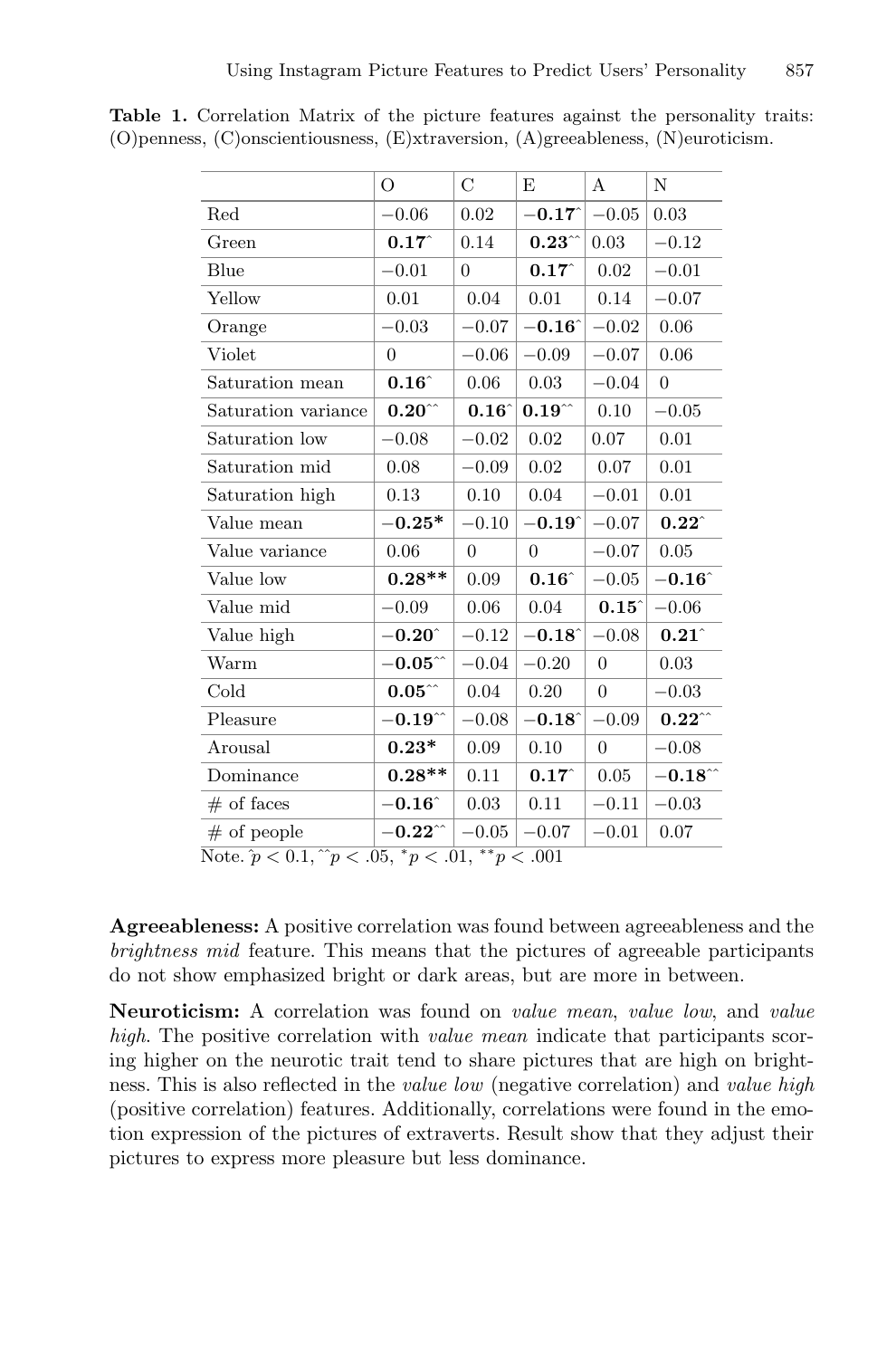|                                                                             | $\Omega$                           | $\rm C$          | E                     | A              | N                                 |
|-----------------------------------------------------------------------------|------------------------------------|------------------|-----------------------|----------------|-----------------------------------|
| Red                                                                         | $-0.06$                            | 0.02             | $-0.17$ ^             | $-0.05$        | 0.03                              |
| Green                                                                       | $0.17^\circ$                       | 0.14             | $0.23^{\sim}$         | 0.03           | $-0.12$                           |
| Blue                                                                        | $-0.01$                            | $\overline{0}$   | $\mathbf{0.17}^\circ$ | $0.02\,$       | $-0.01$                           |
| Yellow                                                                      | 0.01                               | 0.04             | 0.01                  | 0.14           | $-0.07$                           |
| Orange                                                                      | $-0.03$                            | $-0.07$          | $-0.16$               | $-0.02$        | 0.06                              |
| Violet                                                                      | $\overline{0}$                     | $-0.06$          | $-0.09$               | $-0.07$        | 0.06                              |
| Saturation mean                                                             | $\mathbf{0.16}^\circ$              | 0.06             | 0.03                  | $-0.04$        | $\Omega$                          |
| Saturation variance                                                         | $0.20^{\circ\circ}$                | $0.16^{\degree}$ | $0.19^{\circ\circ}$   | 0.10           | $-0.05$                           |
| Saturation low                                                              | $-0.08$                            | $-0.02$          | 0.02                  | 0.07           | 0.01                              |
| Saturation mid                                                              | 0.08                               | $-0.09$          | 0.02                  | 0.07           | 0.01                              |
| Saturation high                                                             | 0.13                               | 0.10             | 0.04                  | $-0.01$        | 0.01                              |
| Value mean                                                                  | $\mathbf{-0.25^*}$                 | $-0.10$          | $-0.19$ ^             | $-0.07$        | $0.22^{\scriptscriptstyle\wedge}$ |
| Value variance                                                              | 0.06                               | $\theta$         | $\overline{0}$        | $-0.07$        | 0.05                              |
| Value low                                                                   | $0.28**$                           | 0.09             | $0.16^$               | $-0.05$        | $-0.16^{\circ}$                   |
| Value mid                                                                   | $-0.09$                            | 0.06             | 0.04                  | $0.15^{\circ}$ | $-0.06$                           |
| Value high                                                                  | $-0.20^{\scriptscriptstyle\wedge}$ | $-0.12$          | $-0.18$ ^             | $-0.08$        | $0.21^{\circ}$                    |
| Warm                                                                        | $-0.05^{\sim}$                     | $-0.04$          | $-0.20$               | $\overline{0}$ | 0.03                              |
| Cold                                                                        | $0.05^{\tiny \wedge}$              | 0.04             | 0.20                  | $\theta$       | $-0.03$                           |
| Pleasure                                                                    | $-0.19^{\sim}$                     | $-0.08$          | $-0.18$ ^             | $-0.09$        | $0.22^{\sim}$                     |
| Arousal                                                                     | $0.23*$                            | 0.09             | 0.10                  | $\overline{0}$ | $-0.08$                           |
| Dominance                                                                   | $0.28**$                           | 0.11             | $0.17^\circ$          | 0.05           | $-0.18$ ^^                        |
| $\#$ of faces                                                               | $-0.16^{\circ}$                    | 0.03             | 0.11                  | $-0.11$        | $-0.03$                           |
| $#$ of people                                                               | $-0.22^{\sim}$                     | $-0.05$          | $-0.07$               | $-0.01$        | 0.07                              |
| Note $\hat{n}$ / 0.1 $\hat{n}$<br>$05 \cdot n \times 01$<br>$***n \geq 001$ |                                    |                  |                       |                |                                   |

<span id="page-7-0"></span>**Table 1.** Correlation Matrix of the picture features against the personality traits: (O)penness, (C)onscientiousness, (E)xtraversion, (A)greeableness, (N)euroticism.

Note.  $p < 0.1, \degree p < .05, \degree p < .01, \degree p < .001$ 

**Agreeableness:** A positive correlation was found between agreeableness and the *brightness mid* feature. This means that the pictures of agreeable participants do not show emphasized bright or dark areas, but are more in between.

**Neuroticism:** A correlation was found on *value mean*, *value low*, and *value high*. The positive correlation with *value mean* indicate that participants scoring higher on the neurotic trait tend to share pictures that are high on brightness. This is also reflected in the *value low* (negative correlation) and *value high* (positive correlation) features. Additionally, correlations were found in the emotion expression of the pictures of extraverts. Result show that they adjust their pictures to express more pleasure but less dominance.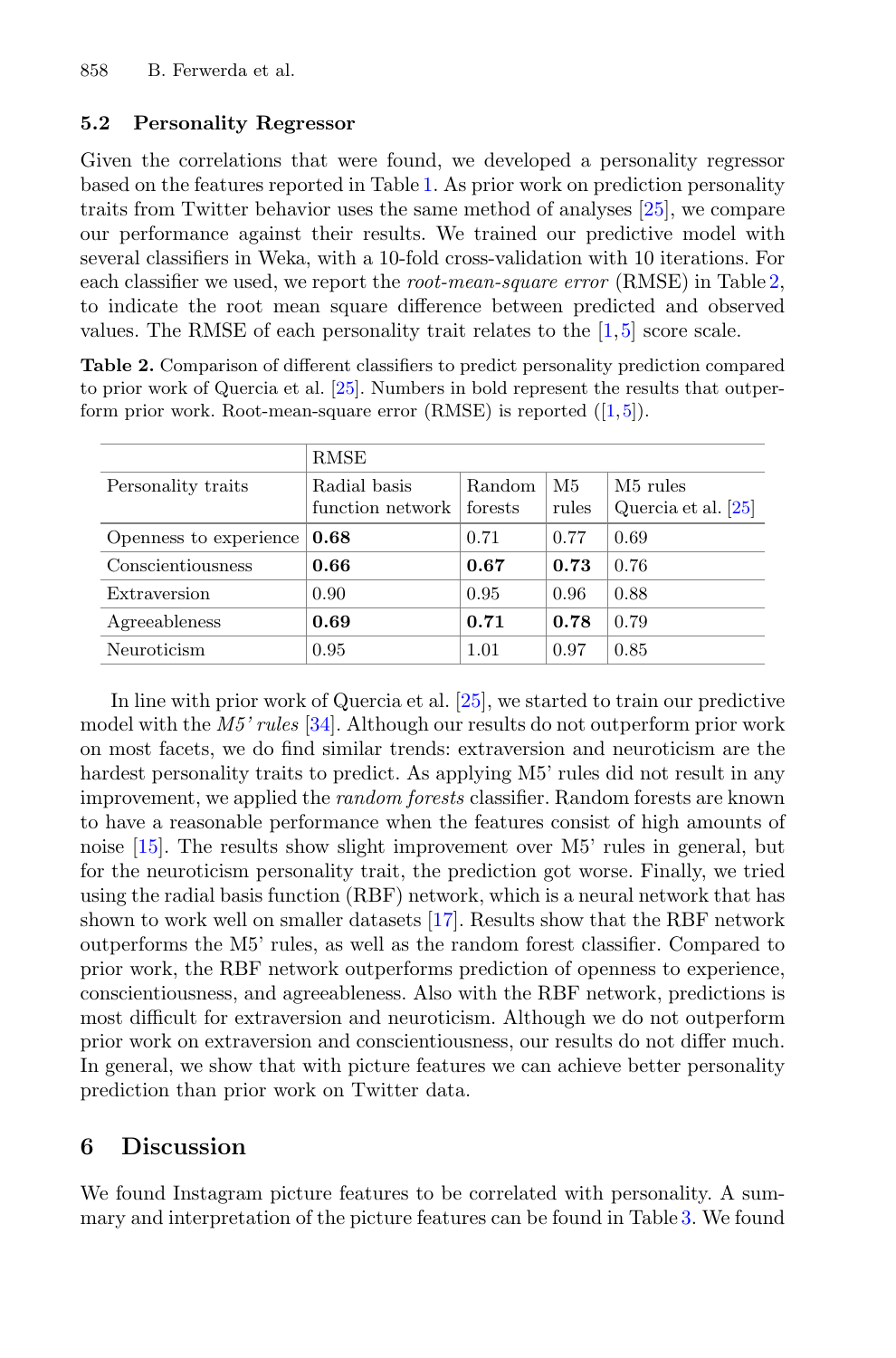#### **5.2 Personality Regressor**

Given the correlations that were found, we developed a personality regressor based on the features reported in Table [1.](#page-7-0) As prior work on prediction personality traits from Twitter behavior uses the same method of analyses [\[25\]](#page-11-5), we compare our performance against their results. We trained our predictive model with several classifiers in Weka, with a 10-fold cross-validation with 10 iterations. For each classifier we used, we report the *root-mean-square error* (RMSE) in Table [2,](#page-8-0) to indicate the root mean square difference between predicted and observed values. The RMSE of each personality trait relates to the [\[1,](#page-10-12)[5\]](#page-10-4) score scale.

<span id="page-8-0"></span>**Table 2.** Comparison of different classifiers to predict personality prediction compared to prior work of Quercia et al. [\[25](#page-11-5)]. Numbers in bold represent the results that outperform prior work. Root-mean-square error  $(RMSE)$  is reported  $([1,5])$  $([1,5])$  $([1,5])$  $([1,5])$ .

|                        | RMSE             |         |       |                     |  |
|------------------------|------------------|---------|-------|---------------------|--|
| Personality traits     | Radial basis     | Random  | M5    | M5 rules            |  |
|                        | function network | forests | rules | Quercia et al. [25] |  |
| Openness to experience | 0.68             | 0.71    | 0.77  | 0.69                |  |
| Conscientiousness      | 0.66             | 0.67    | 0.73  | 0.76                |  |
| Extraversion           | 0.90             | 0.95    | 0.96  | 0.88                |  |
| Agreeableness          | 0.69             | 0.71    | 0.78  | 0.79                |  |
| Neuroticism            | 0.95             | 1.01    | 0.97  | 0.85                |  |

In line with prior work of Quercia et al. [\[25](#page-11-5)], we started to train our predictive model with the *M5' rules* [\[34](#page-11-17)]. Although our results do not outperform prior work on most facets, we do find similar trends: extraversion and neuroticism are the hardest personality traits to predict. As applying M5' rules did not result in any improvement, we applied the *random forests* classifier. Random forests are known to have a reasonable performance when the features consist of high amounts of noise [\[15\]](#page-10-13). The results show slight improvement over M5' rules in general, but for the neuroticism personality trait, the prediction got worse. Finally, we tried using the radial basis function (RBF) network, which is a neural network that has shown to work well on smaller datasets [\[17](#page-11-18)]. Results show that the RBF network outperforms the M5' rules, as well as the random forest classifier. Compared to prior work, the RBF network outperforms prediction of openness to experience, conscientiousness, and agreeableness. Also with the RBF network, predictions is most difficult for extraversion and neuroticism. Although we do not outperform prior work on extraversion and conscientiousness, our results do not differ much. In general, we show that with picture features we can achieve better personality prediction than prior work on Twitter data.

## **6 Discussion**

We found Instagram picture features to be correlated with personality. A summary and interpretation of the picture features can be found in Table [3.](#page-9-0) We found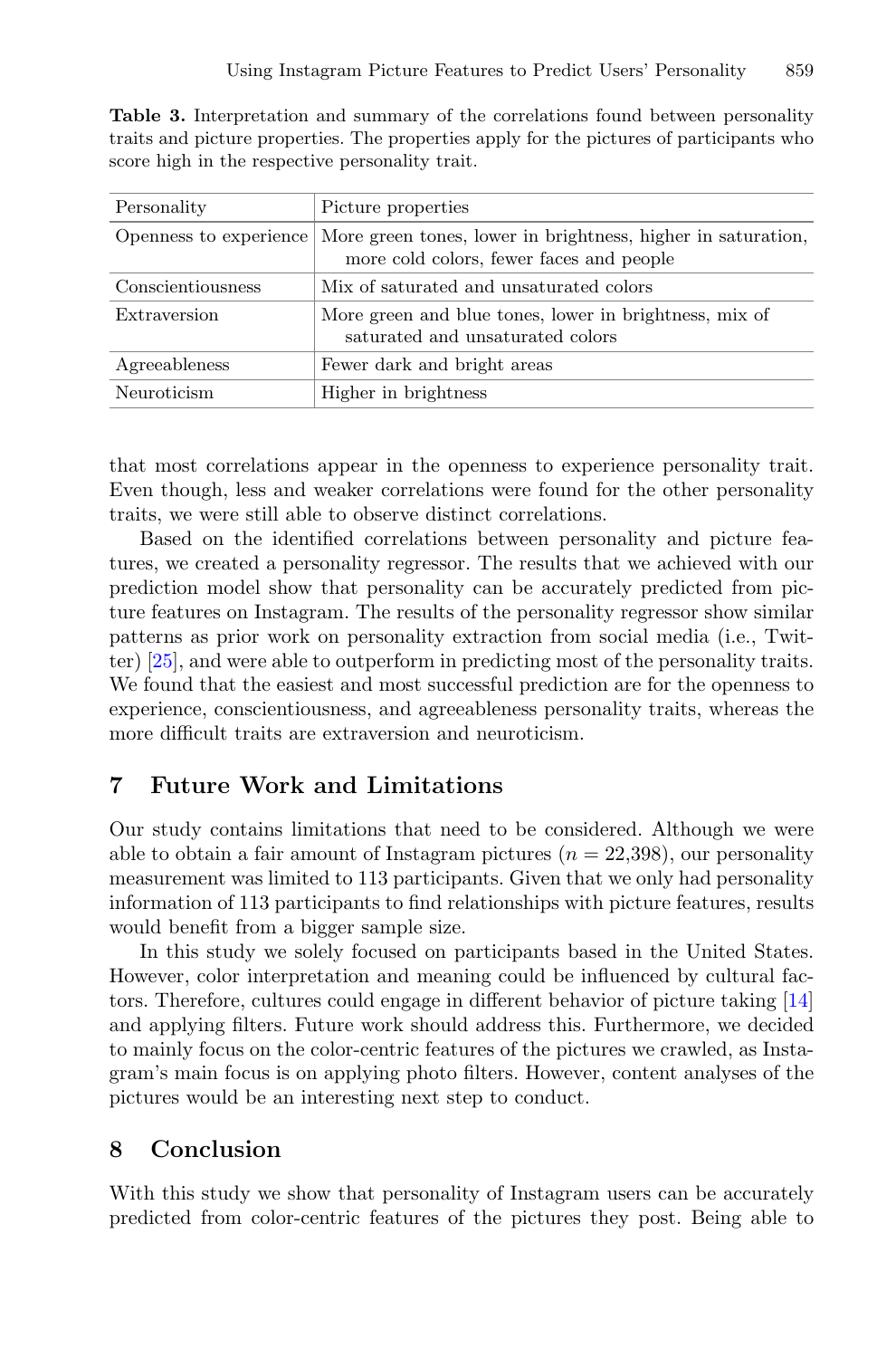| Personality            | Picture properties                                                                                       |
|------------------------|----------------------------------------------------------------------------------------------------------|
| Openness to experience | More green tones, lower in brightness, higher in saturation,<br>more cold colors, fewer faces and people |
| Conscientiousness      | Mix of saturated and unsaturated colors                                                                  |
| Extraversion           | More green and blue tones, lower in brightness, mix of<br>saturated and unsaturated colors               |
| Agreeableness          | Fewer dark and bright areas                                                                              |
| Neuroticism            | Higher in brightness                                                                                     |

<span id="page-9-0"></span>**Table 3.** Interpretation and summary of the correlations found between personality traits and picture properties. The properties apply for the pictures of participants who score high in the respective personality trait.

that most correlations appear in the openness to experience personality trait. Even though, less and weaker correlations were found for the other personality traits, we were still able to observe distinct correlations.

Based on the identified correlations between personality and picture features, we created a personality regressor. The results that we achieved with our prediction model show that personality can be accurately predicted from picture features on Instagram. The results of the personality regressor show similar patterns as prior work on personality extraction from social media (i.e., Twitter) [\[25\]](#page-11-5), and were able to outperform in predicting most of the personality traits. We found that the easiest and most successful prediction are for the openness to experience, conscientiousness, and agreeableness personality traits, whereas the more difficult traits are extraversion and neuroticism.

## **7 Future Work and Limitations**

Our study contains limitations that need to be considered. Although we were able to obtain a fair amount of Instagram pictures  $(n = 22,398)$ , our personality measurement was limited to 113 participants. Given that we only had personality information of 113 participants to find relationships with picture features, results would benefit from a bigger sample size.

In this study we solely focused on participants based in the United States. However, color interpretation and meaning could be influenced by cultural factors. Therefore, cultures could engage in different behavior of picture taking [\[14\]](#page-10-14) and applying filters. Future work should address this. Furthermore, we decided to mainly focus on the color-centric features of the pictures we crawled, as Instagram's main focus is on applying photo filters. However, content analyses of the pictures would be an interesting next step to conduct.

## **8 Conclusion**

With this study we show that personality of Instagram users can be accurately predicted from color-centric features of the pictures they post. Being able to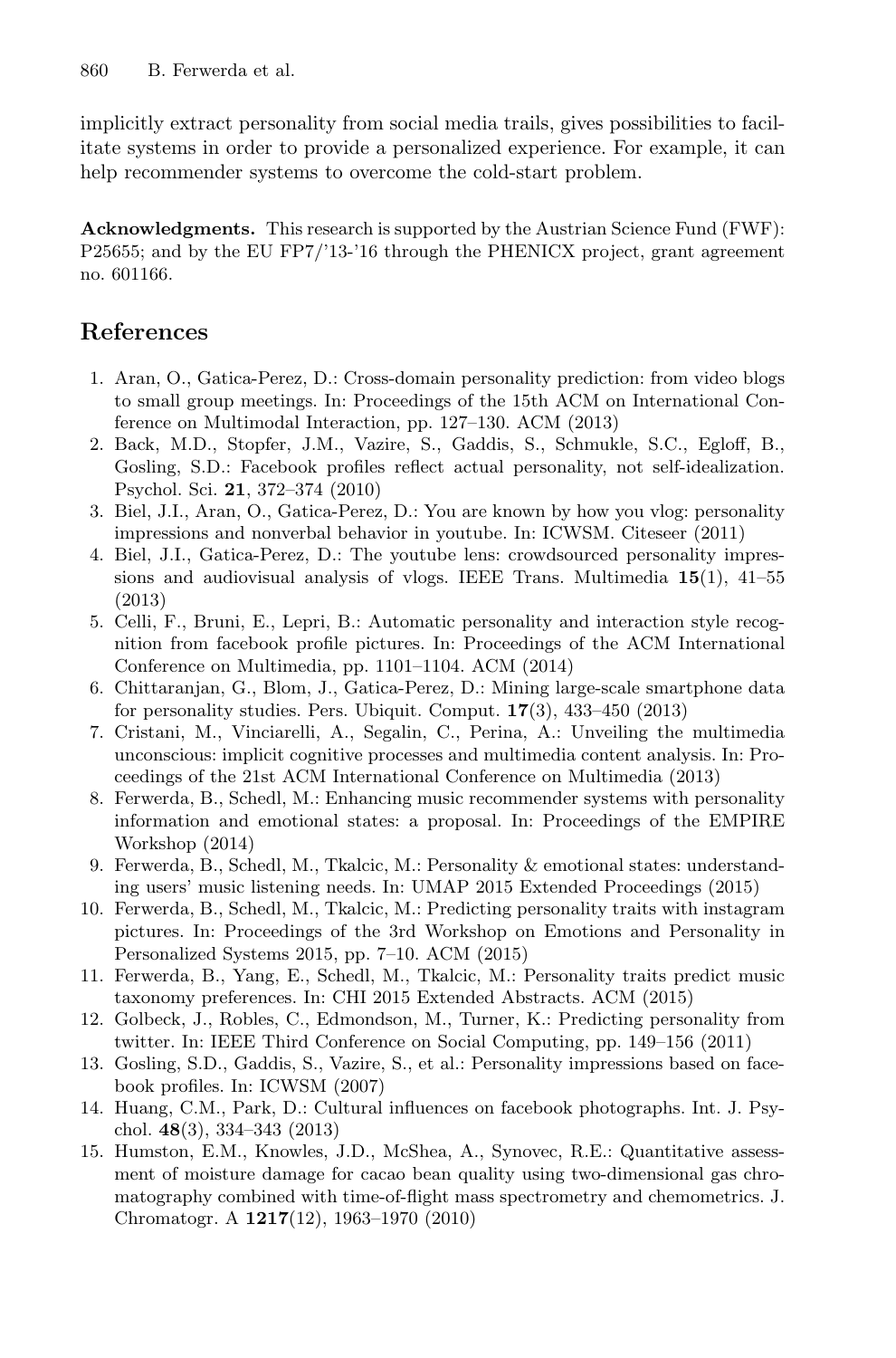implicitly extract personality from social media trails, gives possibilities to facilitate systems in order to provide a personalized experience. For example, it can help recommender systems to overcome the cold-start problem.

**Acknowledgments.** This research is supported by the Austrian Science Fund (FWF): P25655; and by the EU FP7/'13-'16 through the PHENICX project, grant agreement no. 601166.

## <span id="page-10-12"></span>**References**

- 1. Aran, O., Gatica-Perez, D.: Cross-domain personality prediction: from video blogs to small group meetings. In: Proceedings of the 15th ACM on International Conference on Multimodal Interaction, pp. 127–130. ACM (2013)
- <span id="page-10-3"></span>2. Back, M.D., Stopfer, J.M., Vazire, S., Gaddis, S., Schmukle, S.C., Egloff, B., Gosling, S.D.: Facebook profiles reflect actual personality, not self-idealization. Psychol. Sci. **21**, 372–374 (2010)
- <span id="page-10-8"></span>3. Biel, J.I., Aran, O., Gatica-Perez, D.: You are known by how you vlog: personality impressions and nonverbal behavior in youtube. In: ICWSM. Citeseer (2011)
- <span id="page-10-9"></span>4. Biel, J.I., Gatica-Perez, D.: The youtube lens: crowdsourced personality impressions and audiovisual analysis of vlogs. IEEE Trans. Multimedia **15**(1), 41–55 (2013)
- <span id="page-10-4"></span>5. Celli, F., Bruni, E., Lepri, B.: Automatic personality and interaction style recognition from facebook profile pictures. In: Proceedings of the ACM International Conference on Multimedia, pp. 1101–1104. ACM (2014)
- <span id="page-10-11"></span>6. Chittaranjan, G., Blom, J., Gatica-Perez, D.: Mining large-scale smartphone data for personality studies. Pers. Ubiquit. Comput. **17**(3), 433–450 (2013)
- <span id="page-10-7"></span>7. Cristani, M., Vinciarelli, A., Segalin, C., Perina, A.: Unveiling the multimedia unconscious: implicit cognitive processes and multimedia content analysis. In: Proceedings of the 21st ACM International Conference on Multimedia (2013)
- <span id="page-10-1"></span>8. Ferwerda, B., Schedl, M.: Enhancing music recommender systems with personality information and emotional states: a proposal. In: Proceedings of the EMPIRE Workshop (2014)
- 9. Ferwerda, B., Schedl, M., Tkalcic, M.: Personality & emotional states: understanding users' music listening needs. In: UMAP 2015 Extended Proceedings (2015)
- <span id="page-10-10"></span><span id="page-10-0"></span>10. Ferwerda, B., Schedl, M., Tkalcic, M.: Predicting personality traits with instagram pictures. In: Proceedings of the 3rd Workshop on Emotions and Personality in Personalized Systems 2015, pp. 7–10. ACM (2015)
- <span id="page-10-2"></span>11. Ferwerda, B., Yang, E., Schedl, M., Tkalcic, M.: Personality traits predict music taxonomy preferences. In: CHI 2015 Extended Abstracts. ACM (2015)
- <span id="page-10-6"></span>12. Golbeck, J., Robles, C., Edmondson, M., Turner, K.: Predicting personality from twitter. In: IEEE Third Conference on Social Computing, pp. 149–156 (2011)
- <span id="page-10-5"></span>13. Gosling, S.D., Gaddis, S., Vazire, S., et al.: Personality impressions based on facebook profiles. In: ICWSM (2007)
- <span id="page-10-14"></span>14. Huang, C.M., Park, D.: Cultural influences on facebook photographs. Int. J. Psychol. **48**(3), 334–343 (2013)
- <span id="page-10-13"></span>15. Humston, E.M., Knowles, J.D., McShea, A., Synovec, R.E.: Quantitative assessment of moisture damage for cacao bean quality using two-dimensional gas chromatography combined with time-of-flight mass spectrometry and chemometrics. J. Chromatogr. A **1217**(12), 1963–1970 (2010)